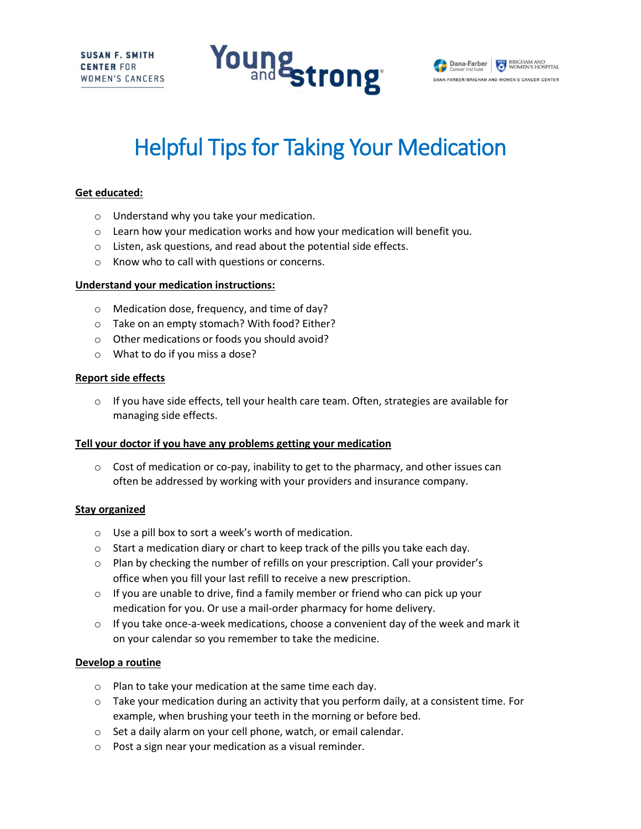



# Helpful Tips for Taking Your Medication

## **Get educated:**

- o Understand why you take your medication.
- $\circ$  Learn how your medication works and how your medication will benefit you.
- o Listen, ask questions, and read about the potential side effects.
- o Know who to call with questions or concerns.

#### **Understand your medication instructions:**

- o Medication dose, frequency, and time of day?
- o Take on an empty stomach? With food? Either?
- o Other medications or foods you should avoid?
- o What to do if you miss a dose?

### **Report side effects**

 $\circ$  If you have side effects, tell your health care team. Often, strategies are available for managing side effects.

#### **Tell your doctor if you have any problems getting your medication**

 $\circ$  Cost of medication or co-pay, inability to get to the pharmacy, and other issues can often be addressed by working with your providers and insurance company.

#### **Stay organized**

- o Use a pill box to sort a week's worth of medication.
- $\circ$  Start a medication diary or chart to keep track of the pills you take each day.
- o Plan by checking the number of refills on your prescription. Call your provider's office when you fill your last refill to receive a new prescription.
- $\circ$  If you are unable to drive, find a family member or friend who can pick up your medication for you. Or use a mail-order pharmacy for home delivery.
- $\circ$  If you take once-a-week medications, choose a convenient day of the week and mark it on your calendar so you remember to take the medicine.

#### **Develop a routine**

- o Plan to take your medication at the same time each day.
- $\circ$  Take your medication during an activity that you perform daily, at a consistent time. For example, when brushing your teeth in the morning or before bed.
- o Set a daily alarm on your cell phone, watch, or email calendar.
- o Post a sign near your medication as a visual reminder.